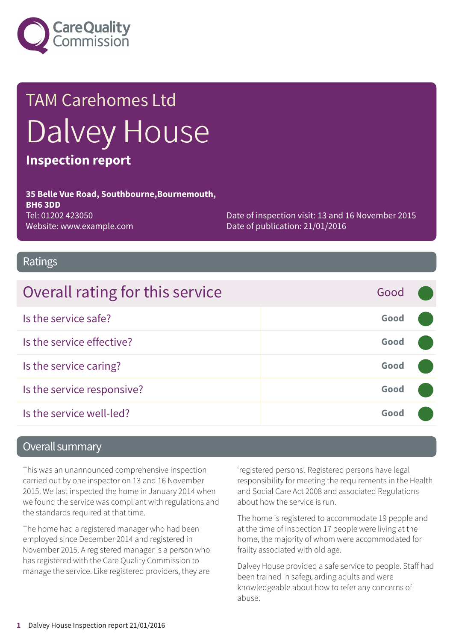

# TAM Carehomes Ltd Dalvey House **Inspection report**

**35 Belle Vue Road, Southbourne,Bournemouth, BH6 3DD** Tel: 01202 423050 Website: www.example.com

Date of inspection visit: 13 and 16 November 2015 Date of publication: 21/01/2016

#### Ratings

| Overall rating for this service | Good |  |
|---------------------------------|------|--|
| Is the service safe?            | Good |  |
| Is the service effective?       | Good |  |
| Is the service caring?          | Good |  |
| Is the service responsive?      | Good |  |
| Is the service well-led?        | Good |  |

#### Overall summary

This was an unannounced comprehensive inspection carried out by one inspector on 13 and 16 November 2015. We last inspected the home in January 2014 when we found the service was compliant with regulations and the standards required at that time.

The home had a registered manager who had been employed since December 2014 and registered in November 2015. A registered manager is a person who has registered with the Care Quality Commission to manage the service. Like registered providers, they are

'registered persons'. Registered persons have legal responsibility for meeting the requirements in the Health and Social Care Act 2008 and associated Regulations about how the service is run.

The home is registered to accommodate 19 people and at the time of inspection 17 people were living at the home, the majority of whom were accommodated for frailty associated with old age.

Dalvey House provided a safe service to people. Staff had been trained in safeguarding adults and were knowledgeable about how to refer any concerns of abuse.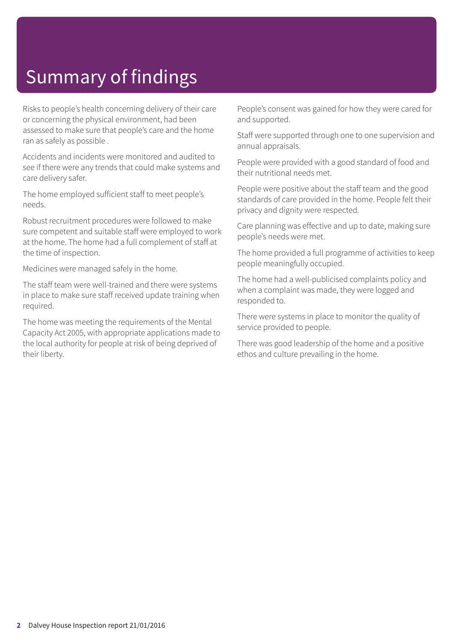# Summary of findings

Risks to people's health concerning delivery of their care or concerning the physical environment, had been assessed to make sure that people's care and the home ran as safely as possible .

Accidents and incidents were monitored and audited to see if there were any trends that could make systems and care delivery safer.

The home employed sufficient staff to meet people's needs.

Robust recruitment procedures were followed to make sure competent and suitable staff were employed to work at the home. The home had a full complement of staff at the time of inspection.

Medicines were managed safely in the home.

The staff team were well-trained and there were systems in place to make sure staff received update training when required.

The home was meeting the requirements of the Mental Capacity Act 2005, with appropriate applications made to the local authority for people at risk of being deprived of their liberty.

People's consent was gained for how they were cared for and supported.

Staff were supported through one to one supervision and annual appraisals.

People were provided with a good standard of food and their nutritional needs met.

People were positive about the staff team and the good standards of care provided in the home. People felt their privacy and dignity were respected.

Care planning was effective and up to date, making sure people's needs were met.

The home provided a full programme of activities to keep people meaningfully occupied.

The home had a well-publicised complaints policy and when a complaint was made, they were logged and responded to.

There were systems in place to monitor the quality of service provided to people.

There was good leadership of the home and a positive ethos and culture prevailing in the home.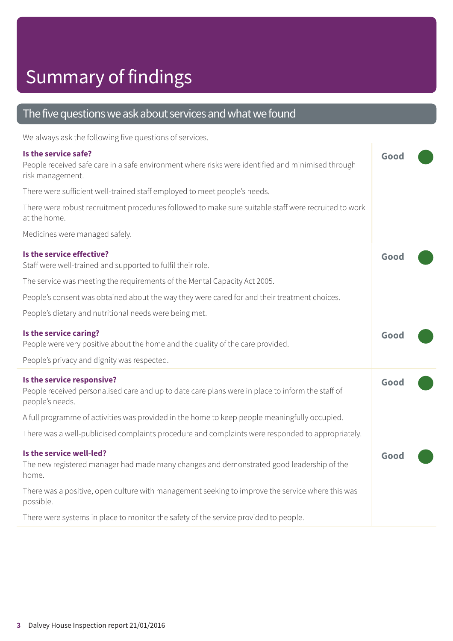#### The five questions we ask about services and what we found

We always ask the following five questions of services.

| Is the service safe?<br>People received safe care in a safe environment where risks were identified and minimised through<br>risk management.     | Good |  |
|---------------------------------------------------------------------------------------------------------------------------------------------------|------|--|
| There were sufficient well-trained staff employed to meet people's needs.                                                                         |      |  |
| There were robust recruitment procedures followed to make sure suitable staff were recruited to work<br>at the home.                              |      |  |
| Medicines were managed safely.                                                                                                                    |      |  |
| Is the service effective?<br>Staff were well-trained and supported to fulfil their role.                                                          | Good |  |
| The service was meeting the requirements of the Mental Capacity Act 2005.                                                                         |      |  |
| People's consent was obtained about the way they were cared for and their treatment choices.                                                      |      |  |
| People's dietary and nutritional needs were being met.                                                                                            |      |  |
| Is the service caring?<br>People were very positive about the home and the quality of the care provided.                                          | Good |  |
| People's privacy and dignity was respected.                                                                                                       |      |  |
| Is the service responsive?<br>People received personalised care and up to date care plans were in place to inform the staff of<br>people's needs. | Good |  |
| A full programme of activities was provided in the home to keep people meaningfully occupied.                                                     |      |  |
| There was a well-publicised complaints procedure and complaints were responded to appropriately.                                                  |      |  |
| Is the service well-led?<br>The new registered manager had made many changes and demonstrated good leadership of the<br>home.                     | Good |  |
| There was a positive, open culture with management seeking to improve the service where this was<br>possible.                                     |      |  |
| There were systems in place to monitor the safety of the service provided to people.                                                              |      |  |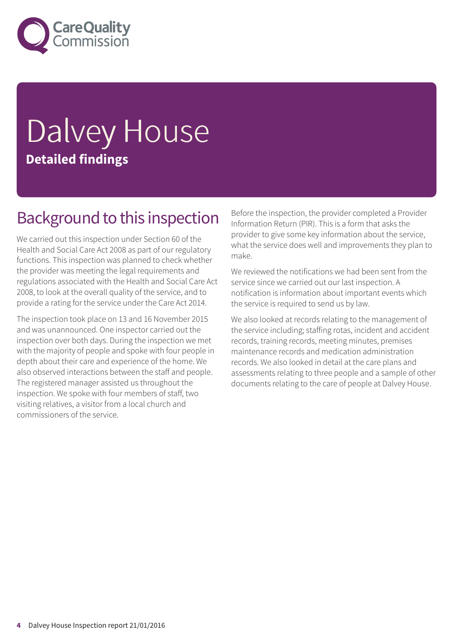

# Dalvey House **Detailed findings**

#### Background to this inspection

We carried out this inspection under Section 60 of the Health and Social Care Act 2008 as part of our regulatory functions. This inspection was planned to check whether the provider was meeting the legal requirements and regulations associated with the Health and Social Care Act 2008, to look at the overall quality of the service, and to provide a rating for the service under the Care Act 2014.

The inspection took place on 13 and 16 November 2015 and was unannounced. One inspector carried out the inspection over both days. During the inspection we met with the majority of people and spoke with four people in depth about their care and experience of the home. We also observed interactions between the staff and people. The registered manager assisted us throughout the inspection. We spoke with four members of staff, two visiting relatives, a visitor from a local church and commissioners of the service.

Before the inspection, the provider completed a Provider Information Return (PIR). This is a form that asks the provider to give some key information about the service, what the service does well and improvements they plan to make.

We reviewed the notifications we had been sent from the service since we carried out our last inspection. A notification is information about important events which the service is required to send us by law.

We also looked at records relating to the management of the service including; staffing rotas, incident and accident records, training records, meeting minutes, premises maintenance records and medication administration records. We also looked in detail at the care plans and assessments relating to three people and a sample of other documents relating to the care of people at Dalvey House.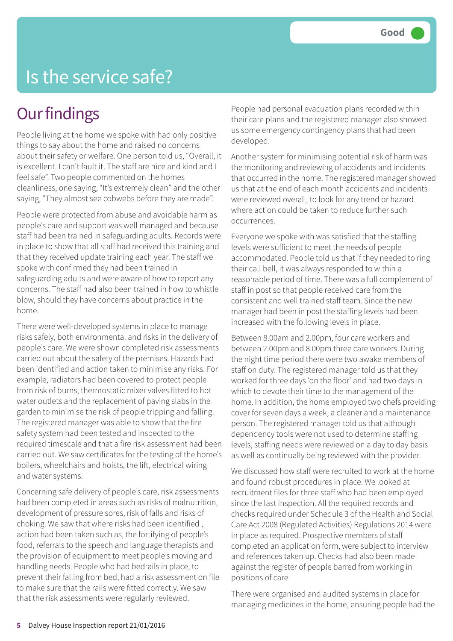## Is the service safe?

#### **Our findings**

People living at the home we spoke with had only positive things to say about the home and raised no concerns about their safety or welfare. One person told us, "Overall, it is excellent. I can't fault it. The staff are nice and kind and I feel safe". Two people commented on the homes cleanliness, one saying, "It's extremely clean" and the other saying, "They almost see cobwebs before they are made".

People were protected from abuse and avoidable harm as people's care and support was well managed and because staff had been trained in safeguarding adults. Records were in place to show that all staff had received this training and that they received update training each year. The staff we spoke with confirmed they had been trained in safeguarding adults and were aware of how to report any concerns. The staff had also been trained in how to whistle blow, should they have concerns about practice in the home.

There were well-developed systems in place to manage risks safely, both environmental and risks in the delivery of people's care. We were shown completed risk assessments carried out about the safety of the premises. Hazards had been identified and action taken to minimise any risks. For example, radiators had been covered to protect people from risk of burns, thermostatic mixer valves fitted to hot water outlets and the replacement of paving slabs in the garden to minimise the risk of people tripping and falling. The registered manager was able to show that the fire safety system had been tested and inspected to the required timescale and that a fire risk assessment had been carried out. We saw certificates for the testing of the home's boilers, wheelchairs and hoists, the lift, electrical wiring and water systems.

Concerning safe delivery of people's care, risk assessments had been completed in areas such as risks of malnutrition, development of pressure sores, risk of falls and risks of choking. We saw that where risks had been identified , action had been taken such as, the fortifying of people's food, referrals to the speech and language therapists and the provision of equipment to meet people's moving and handling needs. People who had bedrails in place, to prevent their falling from bed, had a risk assessment on file to make sure that the rails were fitted correctly. We saw that the risk assessments were regularly reviewed.

People had personal evacuation plans recorded within their care plans and the registered manager also showed us some emergency contingency plans that had been developed.

Another system for minimising potential risk of harm was the monitoring and reviewing of accidents and incidents that occurred in the home. The registered manager showed us that at the end of each month accidents and incidents were reviewed overall, to look for any trend or hazard where action could be taken to reduce further such occurrences.

Everyone we spoke with was satisfied that the staffing levels were sufficient to meet the needs of people accommodated. People told us that if they needed to ring their call bell, it was always responded to within a reasonable period of time. There was a full complement of staff in post so that people received care from the consistent and well trained staff team. Since the new manager had been in post the staffing levels had been increased with the following levels in place.

Between 8.00am and 2.00pm, four care workers and between 2.00pm and 8.00pm three care workers. During the night time period there were two awake members of staff on duty. The registered manager told us that they worked for three days 'on the floor' and had two days in which to devote their time to the management of the home. In addition, the home employed two chefs providing cover for seven days a week, a cleaner and a maintenance person. The registered manager told us that although dependency tools were not used to determine staffing levels, staffing needs were reviewed on a day to day basis as well as continually being reviewed with the provider.

We discussed how staff were recruited to work at the home and found robust procedures in place. We looked at recruitment files for three staff who had been employed since the last inspection. All the required records and checks required under Schedule 3 of the Health and Social Care Act 2008 (Regulated Activities) Regulations 2014 were in place as required. Prospective members of staff completed an application form, were subject to interview and references taken up. Checks had also been made against the register of people barred from working in positions of care.

There were organised and audited systems in place for managing medicines in the home, ensuring people had the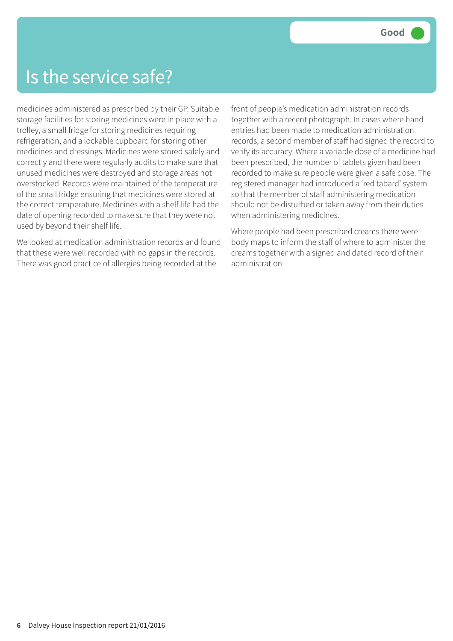#### Is the service safe?

medicines administered as prescribed by their GP. Suitable storage facilities for storing medicines were in place with a trolley, a small fridge for storing medicines requiring refrigeration, and a lockable cupboard for storing other medicines and dressings. Medicines were stored safely and correctly and there were regularly audits to make sure that unused medicines were destroyed and storage areas not overstocked. Records were maintained of the temperature of the small fridge ensuring that medicines were stored at the correct temperature. Medicines with a shelf life had the date of opening recorded to make sure that they were not used by beyond their shelf life.

We looked at medication administration records and found that these were well recorded with no gaps in the records. There was good practice of allergies being recorded at the

front of people's medication administration records together with a recent photograph. In cases where hand entries had been made to medication administration records, a second member of staff had signed the record to verify its accuracy. Where a variable dose of a medicine had been prescribed, the number of tablets given had been recorded to make sure people were given a safe dose. The registered manager had introduced a 'red tabard' system so that the member of staff administering medication should not be disturbed or taken away from their duties when administering medicines.

Where people had been prescribed creams there were body maps to inform the staff of where to administer the creams together with a signed and dated record of their administration.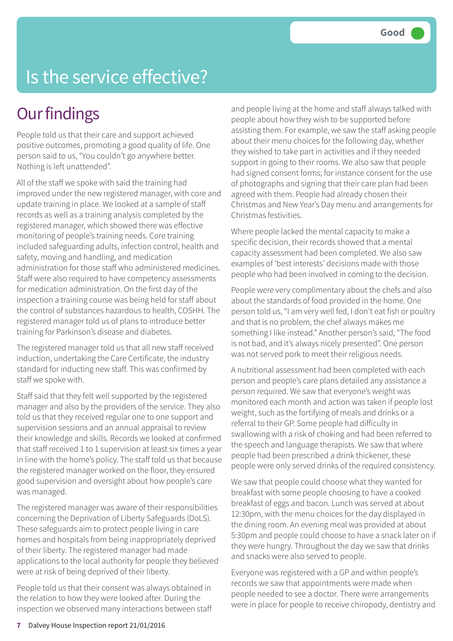# Is the service effective?

### **Our findings**

People told us that their care and support achieved positive outcomes, promoting a good quality of life. One person said to us, "You couldn't go anywhere better. Nothing is left unattended".

All of the staff we spoke with said the training had improved under the new registered manager, with core and update training in place. We looked at a sample of staff records as well as a training analysis completed by the registered manager, which showed there was effective monitoring of people's training needs. Core training included safeguarding adults, infection control, health and safety, moving and handling, and medication administration for those staff who administered medicines. Staff were also required to have competency assessments for medication administration. On the first day of the inspection a training course was being held for staff about the control of substances hazardous to health, COSHH. The registered manager told us of plans to introduce better training for Parkinson's disease and diabetes.

The registered manager told us that all new staff received induction, undertaking the Care Certificate, the industry standard for inducting new staff. This was confirmed by staff we spoke with.

Staff said that they felt well supported by the registered manager and also by the providers of the service. They also told us that they received regular one to one support and supervision sessions and an annual appraisal to review their knowledge and skills. Records we looked at confirmed that staff received 1 to 1 supervision at least six times a year in line with the home's policy. The staff told us that because the registered manager worked on the floor, they ensured good supervision and oversight about how people's care was managed.

The registered manager was aware of their responsibilities concerning the Deprivation of Liberty Safeguards (DoLS). These safeguards aim to protect people living in care homes and hospitals from being inappropriately deprived of their liberty. The registered manager had made applications to the local authority for people they believed were at risk of being deprived of their liberty.

People told us that their consent was always obtained in the relation to how they were looked after. During the inspection we observed many interactions between staff and people living at the home and staff always talked with people about how they wish to be supported before assisting them. For example, we saw the staff asking people about their menu choices for the following day, whether they wished to take part in activities and if they needed support in going to their rooms. We also saw that people had signed consent forms; for instance consent for the use of photographs and signing that their care plan had been agreed with them. People had already chosen their Christmas and New Year's Day menu and arrangements for Christmas festivities.

Where people lacked the mental capacity to make a specific decision, their records showed that a mental capacity assessment had been completed. We also saw examples of 'best interests' decisions made with those people who had been involved in coming to the decision.

People were very complimentary about the chefs and also about the standards of food provided in the home. One person told us, "I am very well fed, I don't eat fish or poultry and that is no problem, the chef always makes me something I like instead." Another person's said, "The food is not bad, and it's always nicely presented". One person was not served pork to meet their religious needs.

A nutritional assessment had been completed with each person and people's care plans detailed any assistance a person required. We saw that everyone's weight was monitored each month and action was taken if people lost weight, such as the fortifying of meals and drinks or a referral to their GP. Some people had difficulty in swallowing with a risk of choking and had been referred to the speech and language therapists. We saw that where people had been prescribed a drink thickener, these people were only served drinks of the required consistency.

We saw that people could choose what they wanted for breakfast with some people choosing to have a cooked breakfast of eggs and bacon. Lunch was served at about 12:30pm, with the menu choices for the day displayed in the dining room. An evening meal was provided at about 5:30pm and people could choose to have a snack later on if they were hungry. Throughout the day we saw that drinks and snacks were also served to people.

Everyone was registered with a GP and within people's records we saw that appointments were made when people needed to see a doctor. There were arrangements were in place for people to receive chiropody, dentistry and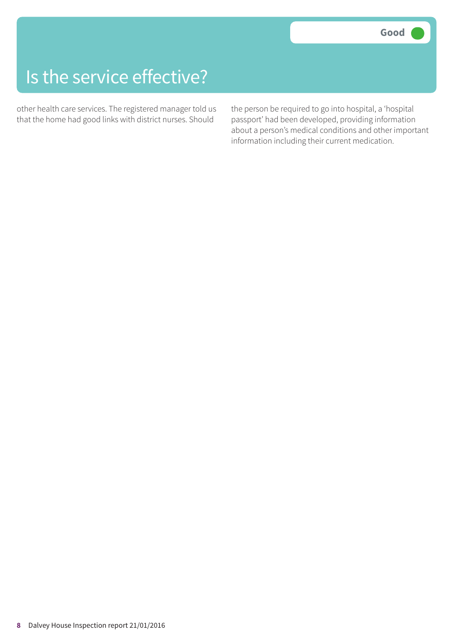### Is the service effective?

other health care services. The registered manager told us that the home had good links with district nurses. Should

the person be required to go into hospital, a 'hospital passport' had been developed, providing information about a person's medical conditions and other important information including their current medication.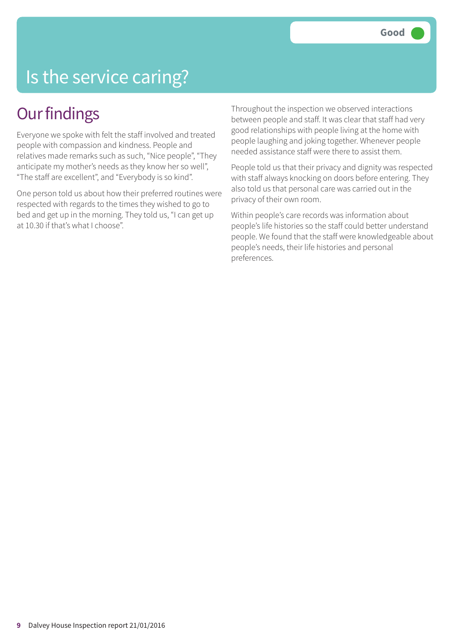# Is the service caring?

#### **Our findings**

Everyone we spoke with felt the staff involved and treated people with compassion and kindness. People and relatives made remarks such as such, "Nice people", "They anticipate my mother's needs as they know her so well", "The staff are excellent", and "Everybody is so kind".

One person told us about how their preferred routines were respected with regards to the times they wished to go to bed and get up in the morning. They told us, "I can get up at 10.30 if that's what I choose".

Throughout the inspection we observed interactions between people and staff. It was clear that staff had very good relationships with people living at the home with people laughing and joking together. Whenever people needed assistance staff were there to assist them.

People told us that their privacy and dignity was respected with staff always knocking on doors before entering. They also told us that personal care was carried out in the privacy of their own room.

Within people's care records was information about people's life histories so the staff could better understand people. We found that the staff were knowledgeable about people's needs, their life histories and personal preferences.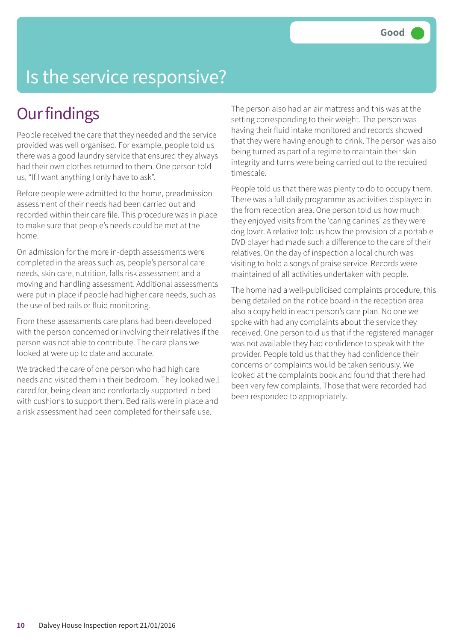# Is the service responsive?

### **Our findings**

People received the care that they needed and the service provided was well organised. For example, people told us there was a good laundry service that ensured they always had their own clothes returned to them. One person told us, "If I want anything I only have to ask".

Before people were admitted to the home, preadmission assessment of their needs had been carried out and recorded within their care file. This procedure was in place to make sure that people's needs could be met at the home.

On admission for the more in-depth assessments were completed in the areas such as, people's personal care needs, skin care, nutrition, falls risk assessment and a moving and handling assessment. Additional assessments were put in place if people had higher care needs, such as the use of bed rails or fluid monitoring.

From these assessments care plans had been developed with the person concerned or involving their relatives if the person was not able to contribute. The care plans we looked at were up to date and accurate.

We tracked the care of one person who had high care needs and visited them in their bedroom. They looked well cared for, being clean and comfortably supported in bed with cushions to support them. Bed rails were in place and a risk assessment had been completed for their safe use.

The person also had an air mattress and this was at the setting corresponding to their weight. The person was having their fluid intake monitored and records showed that they were having enough to drink. The person was also being turned as part of a regime to maintain their skin integrity and turns were being carried out to the required timescale.

People told us that there was plenty to do to occupy them. There was a full daily programme as activities displayed in the from reception area. One person told us how much they enjoyed visits from the 'caring canines' as they were dog lover. A relative told us how the provision of a portable DVD player had made such a difference to the care of their relatives. On the day of inspection a local church was visiting to hold a songs of praise service. Records were maintained of all activities undertaken with people.

The home had a well-publicised complaints procedure, this being detailed on the notice board in the reception area also a copy held in each person's care plan. No one we spoke with had any complaints about the service they received. One person told us that if the registered manager was not available they had confidence to speak with the provider. People told us that they had confidence their concerns or complaints would be taken seriously. We looked at the complaints book and found that there had been very few complaints. Those that were recorded had been responded to appropriately.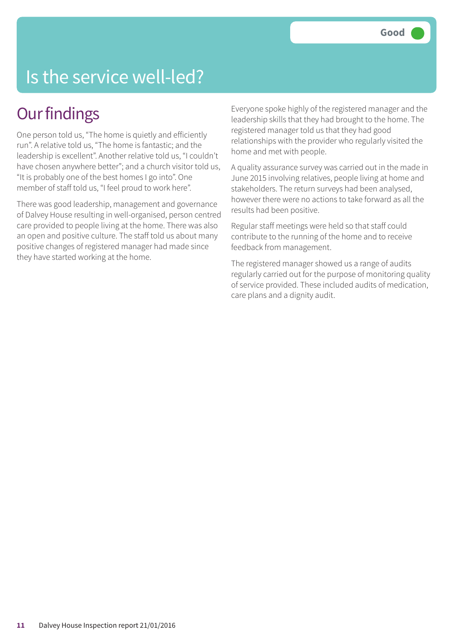# Is the service well-led?

### **Our findings**

One person told us, "The home is quietly and efficiently run". A relative told us, "The home is fantastic; and the leadership is excellent". Another relative told us, "I couldn't have chosen anywhere better"; and a church visitor told us, "It is probably one of the best homes I go into". One member of staff told us, "I feel proud to work here".

There was good leadership, management and governance of Dalvey House resulting in well-organised, person centred care provided to people living at the home. There was also an open and positive culture. The staff told us about many positive changes of registered manager had made since they have started working at the home.

Everyone spoke highly of the registered manager and the leadership skills that they had brought to the home. The registered manager told us that they had good relationships with the provider who regularly visited the home and met with people.

A quality assurance survey was carried out in the made in June 2015 involving relatives, people living at home and stakeholders. The return surveys had been analysed, however there were no actions to take forward as all the results had been positive.

Regular staff meetings were held so that staff could contribute to the running of the home and to receive feedback from management.

The registered manager showed us a range of audits regularly carried out for the purpose of monitoring quality of service provided. These included audits of medication, care plans and a dignity audit.